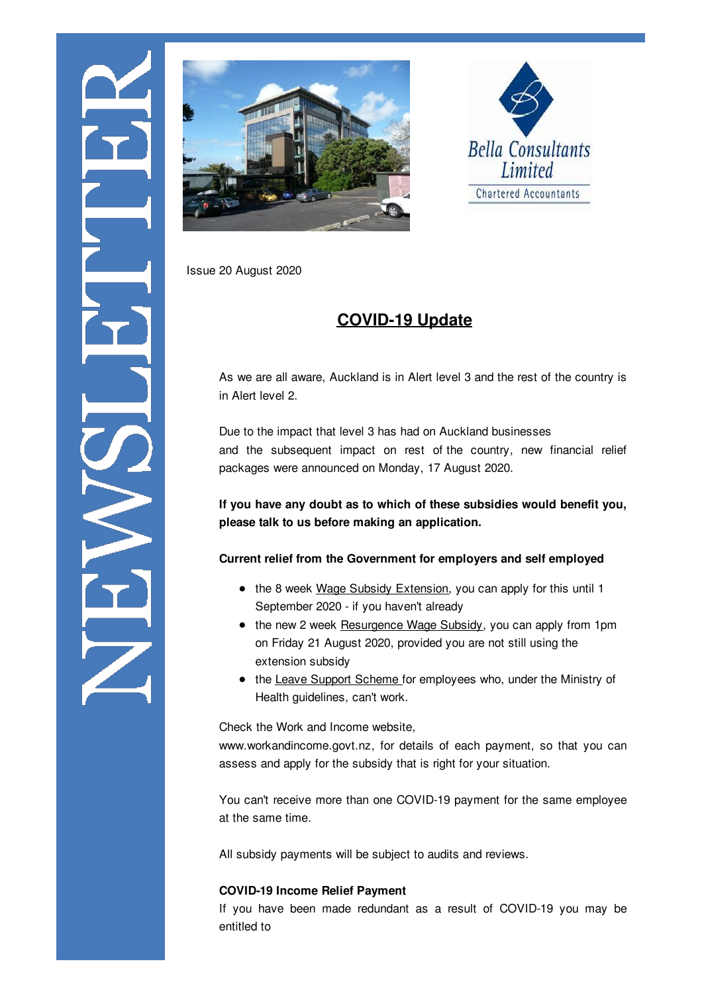





Issue 20 August 2020

# **COVID-19 Update**

As we are all aware, Auckland is in Alert level 3 and the rest of the country is in Alert level 2.

Due to the impact that level 3 has had on Auckland businesses and the subsequent impact on rest of the country, new financial relief packages were announced on Monday, 17 August 2020.

**If you have any doubt as to which of these subsidies would benefit you, please talk to us before making an application.**

### **Current relief from the Government for employers and self employed**

- the 8 week Wage Subsidy Extension, you can apply for this until 1 September 2020 - if you haven't already
- the new 2 week Resurgence Wage Subsidy, you can apply from 1pm on Friday 21 August 2020, provided you are not still using the extension subsidy
- the Leave Support Scheme for employees who, under the Ministry of Health guidelines, can't work.

Check the Work and Income website,

www.workandincome.govt.nz, for details of each payment, so that you can assess and apply for the subsidy that is right for your situation.

You can't receive more than one COVID-19 payment for the same employee at the same time.

All subsidy payments will be subject to audits and reviews.

## **COVID-19 Income Relief Payment**

If you have been made redundant as a result of COVID-19 you may be entitled to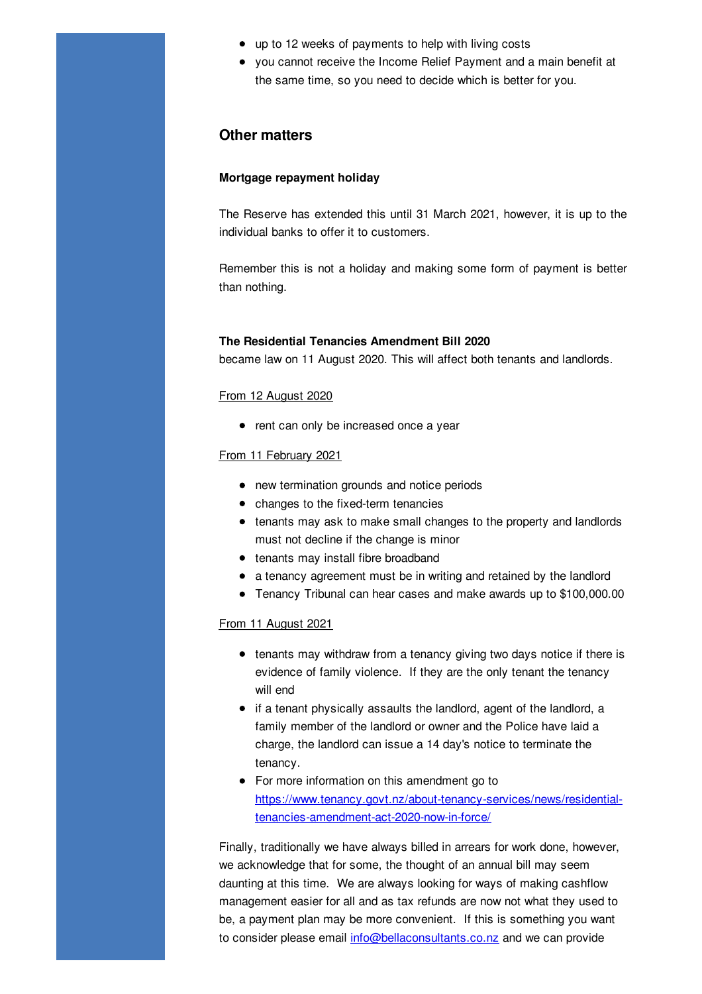- up to 12 weeks of payments to help with living costs
- you cannot receive the Income Relief Payment and a main benefit at the same time, so you need to decide which is better for you.

### **Other matters**

#### **Mortgage repayment holiday**

The Reserve has extended this until 31 March 2021, however, it is up to the individual banks to offer it to customers.

Remember this is not a holiday and making some form of payment is better than nothing.

#### **The Residential Tenancies Amendment Bill 2020**

became law on 11 August 2020. This will affect both tenants and landlords.

#### From 12 August 2020

• rent can only be increased once a year

#### From 11 February 2021

- new termination grounds and notice periods
- changes to the fixed-term tenancies
- tenants may ask to make small changes to the property and landlords must not decline if the change is minor
- tenants may install fibre broadband
- a tenancy agreement must be in writing and retained by the landlord
- Tenancy Tribunal can hear cases and make awards up to \$100,000.00

#### From 11 August 2021

- tenants may withdraw from a tenancy giving two days notice if there is evidence of family violence. If they are the only tenant the tenancy will end
- if a tenant physically assaults the landlord, agent of the landlord, a family member of the landlord or owner and the Police have laid a charge, the landlord can issue a 14 day's notice to terminate the tenancy.
- For more information on this amendment go to https://www.tenancy.govt.nz/about-tenancy-services/news/residentialtenancies-amendment-act-2020-now-in-force/

Finally, traditionally we have always billed in arrears for work done, however, we acknowledge that for some, the thought of an annual bill may seem daunting at this time. We are always looking for ways of making cashflow management easier for all and as tax refunds are now not what they used to be, a payment plan may be more convenient. If this is something you want to consider please email info@bellaconsultants.co.nz and we can provide